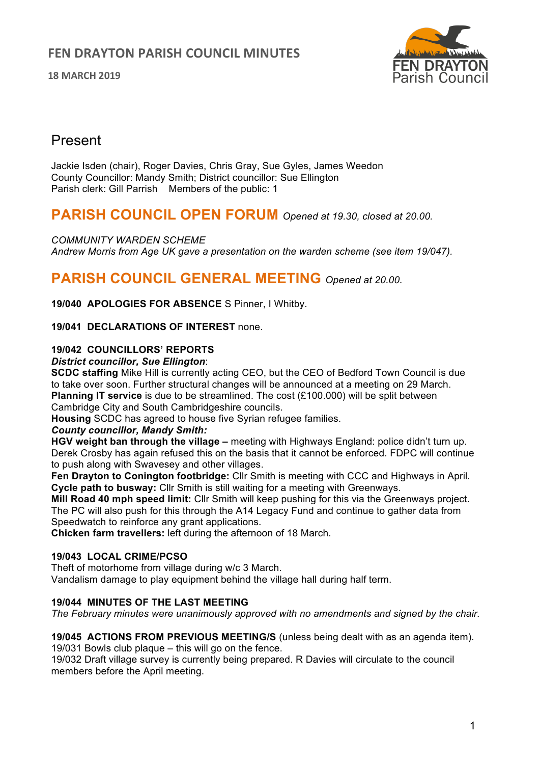**18 MARCH 2019**



# Present

Jackie Isden (chair), Roger Davies, Chris Gray, Sue Gyles, James Weedon County Councillor: Mandy Smith; District councillor: Sue Ellington Parish clerk: Gill Parrish Members of the public: 1

# **PARISH COUNCIL OPEN FORUM** *Opened at 19.30, closed at 20.00.*

*COMMUNITY WARDEN SCHEME Andrew Morris from Age UK gave a presentation on the warden scheme (see item 19/047).* 

# **PARISH COUNCIL GENERAL MEETING** *Opened at 20.00.*

**19/040 APOLOGIES FOR ABSENCE** S Pinner, I Whitby.

**19/041 DECLARATIONS OF INTEREST** none.

## **19/042 COUNCILLORS' REPORTS**

### *District councillor, Sue Ellington*:

**SCDC staffing** Mike Hill is currently acting CEO, but the CEO of Bedford Town Council is due to take over soon. Further structural changes will be announced at a meeting on 29 March. **Planning IT service** is due to be streamlined. The cost (£100.000) will be split between Cambridge City and South Cambridgeshire councils.

**Housing** SCDC has agreed to house five Syrian refugee families.

### *County councillor, Mandy Smith:*

**HGV weight ban through the village –** meeting with Highways England: police didn't turn up. Derek Crosby has again refused this on the basis that it cannot be enforced. FDPC will continue to push along with Swavesey and other villages.

**Fen Drayton to Conington footbridge:** Cllr Smith is meeting with CCC and Highways in April. **Cycle path to busway:** Cllr Smith is still waiting for a meeting with Greenways.

**Mill Road 40 mph speed limit:** Cllr Smith will keep pushing for this via the Greenways project. The PC will also push for this through the A14 Legacy Fund and continue to gather data from Speedwatch to reinforce any grant applications.

**Chicken farm travellers:** left during the afternoon of 18 March.

### **19/043 LOCAL CRIME/PCSO**

Theft of motorhome from village during w/c 3 March.

Vandalism damage to play equipment behind the village hall during half term.

## **19/044 MINUTES OF THE LAST MEETING**

*The February minutes were unanimously approved with no amendments and signed by the chair.*

**19/045 ACTIONS FROM PREVIOUS MEETING/S** (unless being dealt with as an agenda item). 19/031 Bowls club plaque – this will go on the fence.

19/032 Draft village survey is currently being prepared. R Davies will circulate to the council members before the April meeting.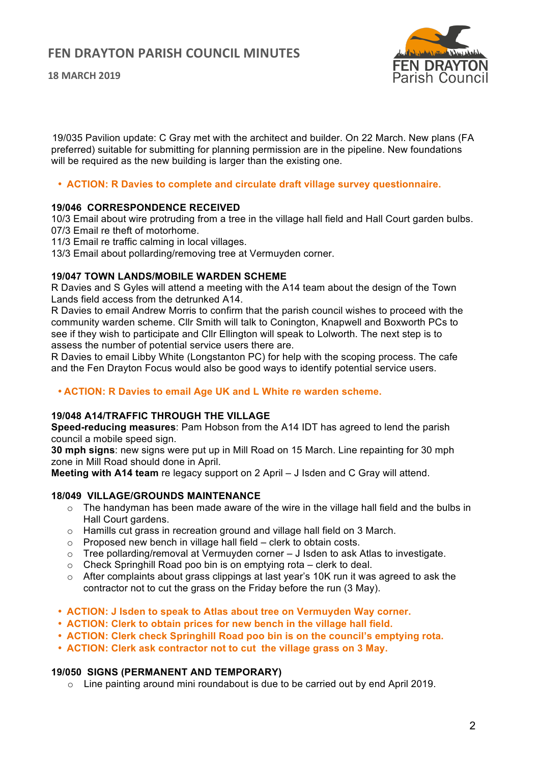**18 MARCH 2019**



 19/035 Pavilion update: C Gray met with the architect and builder. On 22 March. New plans (FA preferred) suitable for submitting for planning permission are in the pipeline. New foundations will be required as the new building is larger than the existing one.

• **ACTION: R Davies to complete and circulate draft village survey questionnaire.** 

### **19/046 CORRESPONDENCE RECEIVED**

10/3 Email about wire protruding from a tree in the village hall field and Hall Court garden bulbs. 07/3 Email re theft of motorhome.

11/3 Email re traffic calming in local villages.

13/3 Email about pollarding/removing tree at Vermuyden corner.

### **19/047 TOWN LANDS/MOBILE WARDEN SCHEME**

R Davies and S Gyles will attend a meeting with the A14 team about the design of the Town Lands field access from the detrunked A14.

R Davies to email Andrew Morris to confirm that the parish council wishes to proceed with the community warden scheme. Cllr Smith will talk to Conington, Knapwell and Boxworth PCs to see if they wish to participate and Cllr Ellington will speak to Lolworth. The next step is to assess the number of potential service users there are.

R Davies to email Libby White (Longstanton PC) for help with the scoping process. The cafe and the Fen Drayton Focus would also be good ways to identify potential service users.

### • **ACTION: R Davies to email Age UK and L White re warden scheme.**

### **19/048 A14/TRAFFIC THROUGH THE VILLAGE**

**Speed-reducing measures**: Pam Hobson from the A14 IDT has agreed to lend the parish council a mobile speed sign.

**30 mph signs**: new signs were put up in Mill Road on 15 March. Line repainting for 30 mph zone in Mill Road should done in April.

**Meeting with A14 team** re legacy support on 2 April – J Isden and C Gray will attend.

### **18/049 VILLAGE/GROUNDS MAINTENANCE**

- o The handyman has been made aware of the wire in the village hall field and the bulbs in Hall Court gardens.
- o Hamills cut grass in recreation ground and village hall field on 3 March.
- $\circ$  Proposed new bench in village hall field clerk to obtain costs.
- o Tree pollarding/removal at Vermuyden corner J Isden to ask Atlas to investigate.<br>  $\circ$  Check Springhill Road poo bin is on emptying rota clerk to deal.
- Check Springhill Road poo bin is on emptying rota clerk to deal.
- o After complaints about grass clippings at last year's 10K run it was agreed to ask the contractor not to cut the grass on the Friday before the run (3 May).
- **ACTION: J Isden to speak to Atlas about tree on Vermuyden Way corner.**
- **ACTION: Clerk to obtain prices for new bench in the village hall field.**
- **ACTION: Clerk check Springhill Road poo bin is on the council's emptying rota.**
- **ACTION: Clerk ask contractor not to cut the village grass on 3 May.**

#### **19/050 SIGNS (PERMANENT AND TEMPORARY)**

o Line painting around mini roundabout is due to be carried out by end April 2019.